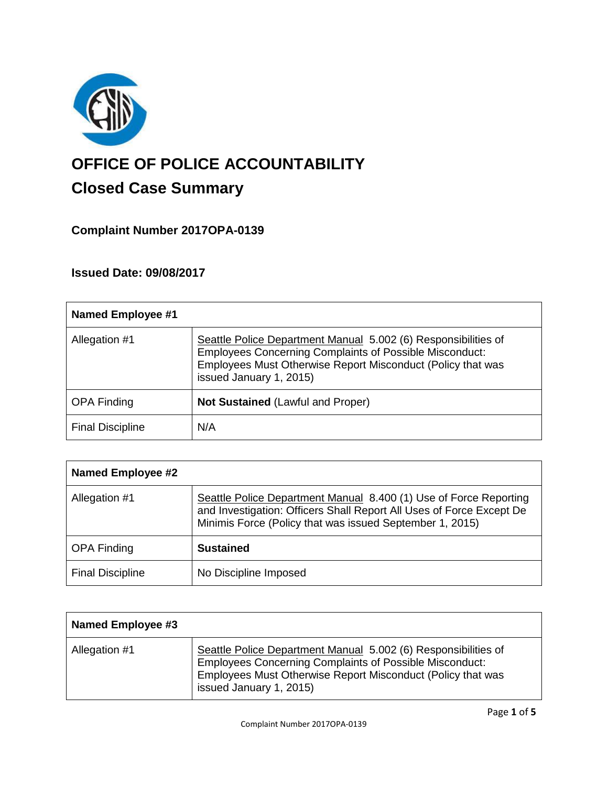

# **OFFICE OF POLICE ACCOUNTABILITY**

# **Closed Case Summary**

# **Complaint Number 2017OPA-0139**

# **Issued Date: 09/08/2017**

| <b>Named Employee #1</b> |                                                                                                                                                                                                                            |
|--------------------------|----------------------------------------------------------------------------------------------------------------------------------------------------------------------------------------------------------------------------|
| Allegation #1            | Seattle Police Department Manual 5.002 (6) Responsibilities of<br><b>Employees Concerning Complaints of Possible Misconduct:</b><br>Employees Must Otherwise Report Misconduct (Policy that was<br>issued January 1, 2015) |
| <b>OPA Finding</b>       | <b>Not Sustained (Lawful and Proper)</b>                                                                                                                                                                                   |
| <b>Final Discipline</b>  | N/A                                                                                                                                                                                                                        |

| <b>Named Employee #2</b> |                                                                                                                                                                                                       |
|--------------------------|-------------------------------------------------------------------------------------------------------------------------------------------------------------------------------------------------------|
| Allegation #1            | Seattle Police Department Manual 8.400 (1) Use of Force Reporting<br>and Investigation: Officers Shall Report All Uses of Force Except De<br>Minimis Force (Policy that was issued September 1, 2015) |
| <b>OPA Finding</b>       | <b>Sustained</b>                                                                                                                                                                                      |
| <b>Final Discipline</b>  | No Discipline Imposed                                                                                                                                                                                 |

| Named Employee #3 |                                                                                                                                                                                                                            |
|-------------------|----------------------------------------------------------------------------------------------------------------------------------------------------------------------------------------------------------------------------|
| Allegation #1     | Seattle Police Department Manual 5.002 (6) Responsibilities of<br><b>Employees Concerning Complaints of Possible Misconduct:</b><br>Employees Must Otherwise Report Misconduct (Policy that was<br>issued January 1, 2015) |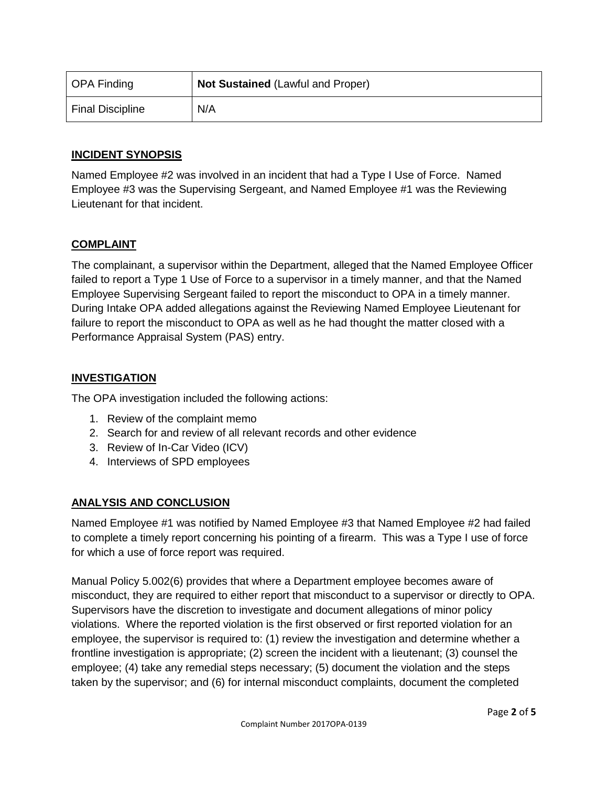| OPA Finding             | <b>Not Sustained (Lawful and Proper)</b> |
|-------------------------|------------------------------------------|
| <b>Final Discipline</b> | N/A                                      |

# **INCIDENT SYNOPSIS**

Named Employee #2 was involved in an incident that had a Type I Use of Force. Named Employee #3 was the Supervising Sergeant, and Named Employee #1 was the Reviewing Lieutenant for that incident.

# **COMPLAINT**

The complainant, a supervisor within the Department, alleged that the Named Employee Officer failed to report a Type 1 Use of Force to a supervisor in a timely manner, and that the Named Employee Supervising Sergeant failed to report the misconduct to OPA in a timely manner. During Intake OPA added allegations against the Reviewing Named Employee Lieutenant for failure to report the misconduct to OPA as well as he had thought the matter closed with a Performance Appraisal System (PAS) entry.

# **INVESTIGATION**

The OPA investigation included the following actions:

- 1. Review of the complaint memo
- 2. Search for and review of all relevant records and other evidence
- 3. Review of In-Car Video (ICV)
- 4. Interviews of SPD employees

# **ANALYSIS AND CONCLUSION**

Named Employee #1 was notified by Named Employee #3 that Named Employee #2 had failed to complete a timely report concerning his pointing of a firearm. This was a Type I use of force for which a use of force report was required.

Manual Policy 5.002(6) provides that where a Department employee becomes aware of misconduct, they are required to either report that misconduct to a supervisor or directly to OPA. Supervisors have the discretion to investigate and document allegations of minor policy violations. Where the reported violation is the first observed or first reported violation for an employee, the supervisor is required to: (1) review the investigation and determine whether a frontline investigation is appropriate; (2) screen the incident with a lieutenant; (3) counsel the employee; (4) take any remedial steps necessary; (5) document the violation and the steps taken by the supervisor; and (6) for internal misconduct complaints, document the completed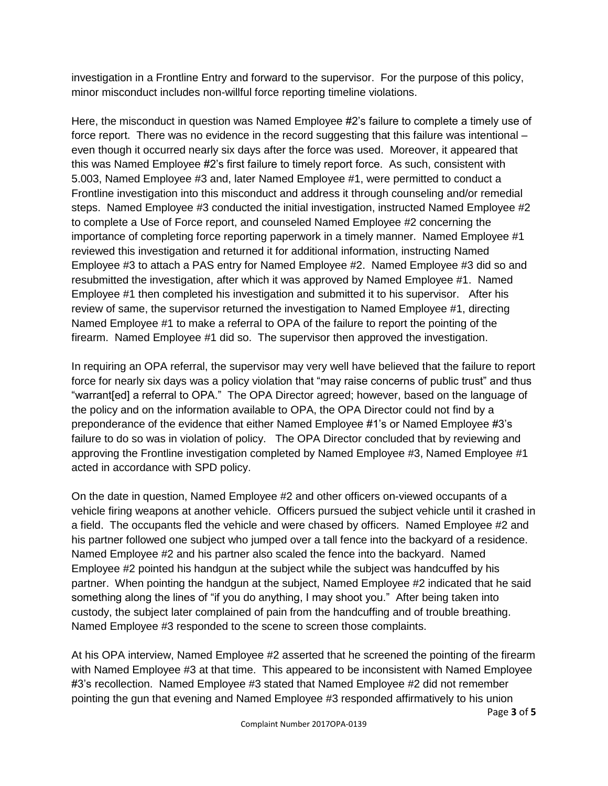investigation in a Frontline Entry and forward to the supervisor. For the purpose of this policy, minor misconduct includes non-willful force reporting timeline violations.

Here, the misconduct in question was Named Employee #2's failure to complete a timely use of force report. There was no evidence in the record suggesting that this failure was intentional – even though it occurred nearly six days after the force was used. Moreover, it appeared that this was Named Employee #2's first failure to timely report force. As such, consistent with 5.003, Named Employee #3 and, later Named Employee #1, were permitted to conduct a Frontline investigation into this misconduct and address it through counseling and/or remedial steps. Named Employee #3 conducted the initial investigation, instructed Named Employee #2 to complete a Use of Force report, and counseled Named Employee #2 concerning the importance of completing force reporting paperwork in a timely manner. Named Employee #1 reviewed this investigation and returned it for additional information, instructing Named Employee #3 to attach a PAS entry for Named Employee #2. Named Employee #3 did so and resubmitted the investigation, after which it was approved by Named Employee #1. Named Employee #1 then completed his investigation and submitted it to his supervisor. After his review of same, the supervisor returned the investigation to Named Employee #1, directing Named Employee #1 to make a referral to OPA of the failure to report the pointing of the firearm. Named Employee #1 did so. The supervisor then approved the investigation.

In requiring an OPA referral, the supervisor may very well have believed that the failure to report force for nearly six days was a policy violation that "may raise concerns of public trust" and thus "warrant[ed] a referral to OPA." The OPA Director agreed; however, based on the language of the policy and on the information available to OPA, the OPA Director could not find by a preponderance of the evidence that either Named Employee #1's or Named Employee #3's failure to do so was in violation of policy. The OPA Director concluded that by reviewing and approving the Frontline investigation completed by Named Employee #3, Named Employee #1 acted in accordance with SPD policy.

On the date in question, Named Employee #2 and other officers on-viewed occupants of a vehicle firing weapons at another vehicle. Officers pursued the subject vehicle until it crashed in a field. The occupants fled the vehicle and were chased by officers. Named Employee #2 and his partner followed one subject who jumped over a tall fence into the backyard of a residence. Named Employee #2 and his partner also scaled the fence into the backyard. Named Employee #2 pointed his handgun at the subject while the subject was handcuffed by his partner. When pointing the handgun at the subject, Named Employee #2 indicated that he said something along the lines of "if you do anything, I may shoot you." After being taken into custody, the subject later complained of pain from the handcuffing and of trouble breathing. Named Employee #3 responded to the scene to screen those complaints.

At his OPA interview, Named Employee #2 asserted that he screened the pointing of the firearm with Named Employee #3 at that time. This appeared to be inconsistent with Named Employee #3's recollection. Named Employee #3 stated that Named Employee #2 did not remember pointing the gun that evening and Named Employee #3 responded affirmatively to his union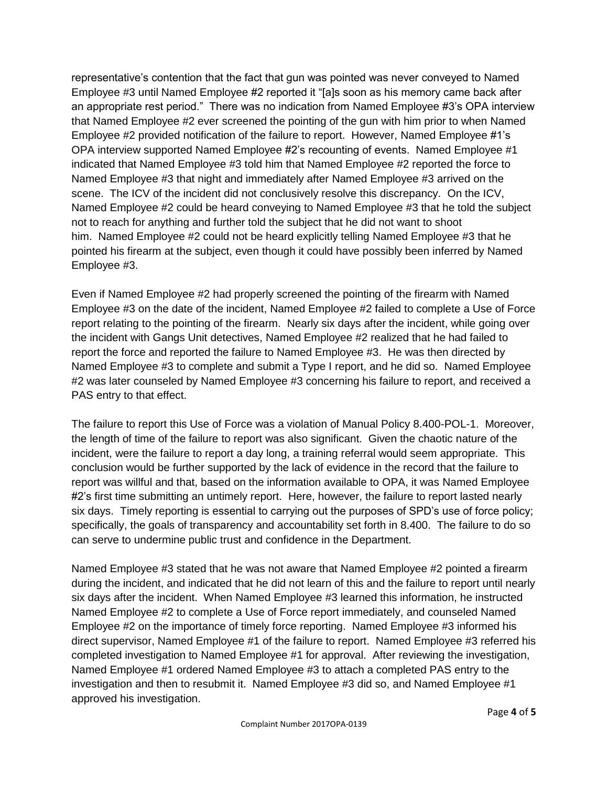representative's contention that the fact that gun was pointed was never conveyed to Named Employee #3 until Named Employee #2 reported it "[a]s soon as his memory came back after an appropriate rest period." There was no indication from Named Employee #3's OPA interview that Named Employee #2 ever screened the pointing of the gun with him prior to when Named Employee #2 provided notification of the failure to report. However, Named Employee #1's OPA interview supported Named Employee #2's recounting of events. Named Employee #1 indicated that Named Employee #3 told him that Named Employee #2 reported the force to Named Employee #3 that night and immediately after Named Employee #3 arrived on the scene. The ICV of the incident did not conclusively resolve this discrepancy. On the ICV, Named Employee #2 could be heard conveying to Named Employee #3 that he told the subject not to reach for anything and further told the subject that he did not want to shoot him. Named Employee #2 could not be heard explicitly telling Named Employee #3 that he pointed his firearm at the subject, even though it could have possibly been inferred by Named Employee #3.

Even if Named Employee #2 had properly screened the pointing of the firearm with Named Employee #3 on the date of the incident, Named Employee #2 failed to complete a Use of Force report relating to the pointing of the firearm. Nearly six days after the incident, while going over the incident with Gangs Unit detectives, Named Employee #2 realized that he had failed to report the force and reported the failure to Named Employee #3. He was then directed by Named Employee #3 to complete and submit a Type I report, and he did so. Named Employee #2 was later counseled by Named Employee #3 concerning his failure to report, and received a PAS entry to that effect.

The failure to report this Use of Force was a violation of Manual Policy 8.400-POL-1. Moreover, the length of time of the failure to report was also significant. Given the chaotic nature of the incident, were the failure to report a day long, a training referral would seem appropriate. This conclusion would be further supported by the lack of evidence in the record that the failure to report was willful and that, based on the information available to OPA, it was Named Employee #2's first time submitting an untimely report. Here, however, the failure to report lasted nearly six days. Timely reporting is essential to carrying out the purposes of SPD's use of force policy; specifically, the goals of transparency and accountability set forth in 8.400. The failure to do so can serve to undermine public trust and confidence in the Department.

Named Employee #3 stated that he was not aware that Named Employee #2 pointed a firearm during the incident, and indicated that he did not learn of this and the failure to report until nearly six days after the incident. When Named Employee #3 learned this information, he instructed Named Employee #2 to complete a Use of Force report immediately, and counseled Named Employee #2 on the importance of timely force reporting. Named Employee #3 informed his direct supervisor, Named Employee #1 of the failure to report. Named Employee #3 referred his completed investigation to Named Employee #1 for approval. After reviewing the investigation, Named Employee #1 ordered Named Employee #3 to attach a completed PAS entry to the investigation and then to resubmit it. Named Employee #3 did so, and Named Employee #1 approved his investigation.